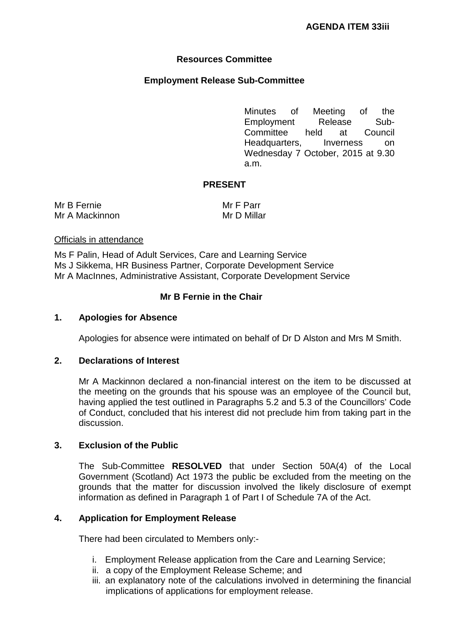# **Resources Committee**

## **Employment Release Sub-Committee**

Minutes of Meeting of the Employment Release Sub-<br>Committee held at Council Committee held at Headquarters, Inverness on Wednesday 7 October, 2015 at 9.30 a.m.

### **PRESENT**

Mr B Fernie Mr A Mackinnon Mr F Parr Mr D Millar

#### Officials in attendance

Ms F Palin, Head of Adult Services, Care and Learning Service Ms J Sikkema, HR Business Partner, Corporate Development Service Mr A MacInnes, Administrative Assistant, Corporate Development Service

### **Mr B Fernie in the Chair**

#### **1. Apologies for Absence**

Apologies for absence were intimated on behalf of Dr D Alston and Mrs M Smith.

## **2. Declarations of Interest**

Mr A Mackinnon declared a non-financial interest on the item to be discussed at the meeting on the grounds that his spouse was an employee of the Council but, having applied the test outlined in Paragraphs 5.2 and 5.3 of the Councillors' Code of Conduct, concluded that his interest did not preclude him from taking part in the discussion.

#### **3. Exclusion of the Public**

The Sub-Committee **RESOLVED** that under Section 50A(4) of the Local Government (Scotland) Act 1973 the public be excluded from the meeting on the grounds that the matter for discussion involved the likely disclosure of exempt information as defined in Paragraph 1 of Part I of Schedule 7A of the Act.

#### **4. Application for Employment Release**

There had been circulated to Members only:-

- i. Employment Release application from the Care and Learning Service;
- ii. a copy of the Employment Release Scheme; and
- iii. an explanatory note of the calculations involved in determining the financial implications of applications for employment release.